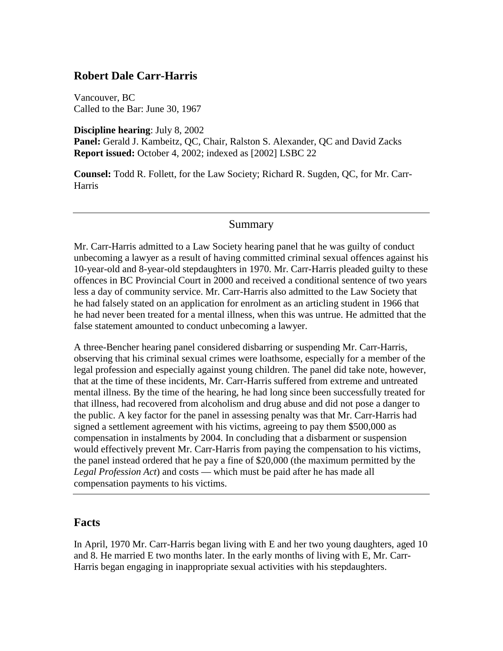### **Robert Dale Carr-Harris**

Vancouver, BC Called to the Bar: June 30, 1967

**Discipline hearing**: July 8, 2002

**Panel:** Gerald J. Kambeitz, QC, Chair, Ralston S. Alexander, QC and David Zacks **Report issued:** October 4, 2002; indexed as [2002] LSBC 22

**Counsel:** Todd R. Follett, for the Law Society; Richard R. Sugden, QC, for Mr. Carr-Harris

### Summary

Mr. Carr-Harris admitted to a Law Society hearing panel that he was guilty of conduct unbecoming a lawyer as a result of having committed criminal sexual offences against his 10-year-old and 8-year-old stepdaughters in 1970. Mr. Carr-Harris pleaded guilty to these offences in BC Provincial Court in 2000 and received a conditional sentence of two years less a day of community service. Mr. Carr-Harris also admitted to the Law Society that he had falsely stated on an application for enrolment as an articling student in 1966 that he had never been treated for a mental illness, when this was untrue. He admitted that the false statement amounted to conduct unbecoming a lawyer.

A three-Bencher hearing panel considered disbarring or suspending Mr. Carr-Harris, observing that his criminal sexual crimes were loathsome, especially for a member of the legal profession and especially against young children. The panel did take note, however, that at the time of these incidents, Mr. Carr-Harris suffered from extreme and untreated mental illness. By the time of the hearing, he had long since been successfully treated for that illness, had recovered from alcoholism and drug abuse and did not pose a danger to the public. A key factor for the panel in assessing penalty was that Mr. Carr-Harris had signed a settlement agreement with his victims, agreeing to pay them \$500,000 as compensation in instalments by 2004. In concluding that a disbarment or suspension would effectively prevent Mr. Carr-Harris from paying the compensation to his victims, the panel instead ordered that he pay a fine of \$20,000 (the maximum permitted by the *Legal Profession Act*) and costs — which must be paid after he has made all compensation payments to his victims.

#### **Facts**

In April, 1970 Mr. Carr-Harris began living with E and her two young daughters, aged 10 and 8. He married E two months later. In the early months of living with E, Mr. Carr-Harris began engaging in inappropriate sexual activities with his stepdaughters.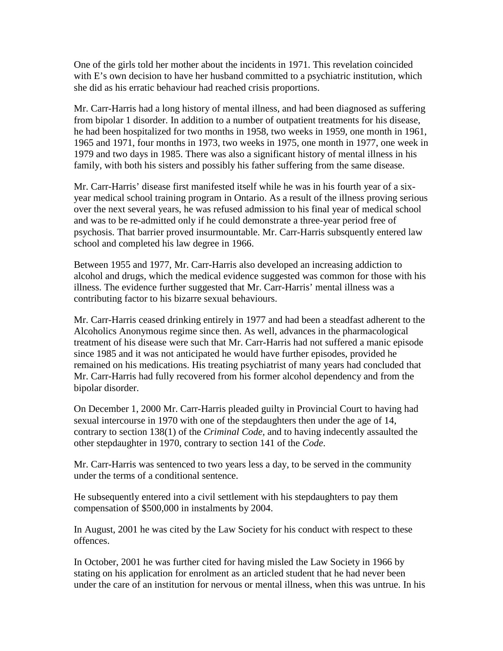One of the girls told her mother about the incidents in 1971. This revelation coincided with E's own decision to have her husband committed to a psychiatric institution, which she did as his erratic behaviour had reached crisis proportions.

Mr. Carr-Harris had a long history of mental illness, and had been diagnosed as suffering from bipolar 1 disorder. In addition to a number of outpatient treatments for his disease, he had been hospitalized for two months in 1958, two weeks in 1959, one month in 1961, 1965 and 1971, four months in 1973, two weeks in 1975, one month in 1977, one week in 1979 and two days in 1985. There was also a significant history of mental illness in his family, with both his sisters and possibly his father suffering from the same disease.

Mr. Carr-Harris' disease first manifested itself while he was in his fourth year of a sixyear medical school training program in Ontario. As a result of the illness proving serious over the next several years, he was refused admission to his final year of medical school and was to be re-admitted only if he could demonstrate a three-year period free of psychosis. That barrier proved insurmountable. Mr. Carr-Harris subsquently entered law school and completed his law degree in 1966.

Between 1955 and 1977, Mr. Carr-Harris also developed an increasing addiction to alcohol and drugs, which the medical evidence suggested was common for those with his illness. The evidence further suggested that Mr. Carr-Harris' mental illness was a contributing factor to his bizarre sexual behaviours.

Mr. Carr-Harris ceased drinking entirely in 1977 and had been a steadfast adherent to the Alcoholics Anonymous regime since then. As well, advances in the pharmacological treatment of his disease were such that Mr. Carr-Harris had not suffered a manic episode since 1985 and it was not anticipated he would have further episodes, provided he remained on his medications. His treating psychiatrist of many years had concluded that Mr. Carr-Harris had fully recovered from his former alcohol dependency and from the bipolar disorder.

On December 1, 2000 Mr. Carr-Harris pleaded guilty in Provincial Court to having had sexual intercourse in 1970 with one of the stepdaughters then under the age of 14, contrary to section 138(1) of the *Criminal Code,* and to having indecently assaulted the other stepdaughter in 1970, contrary to section 141 of the *Code*.

Mr. Carr-Harris was sentenced to two years less a day, to be served in the community under the terms of a conditional sentence.

He subsequently entered into a civil settlement with his stepdaughters to pay them compensation of \$500,000 in instalments by 2004.

In August, 2001 he was cited by the Law Society for his conduct with respect to these offences.

In October, 2001 he was further cited for having misled the Law Society in 1966 by stating on his application for enrolment as an articled student that he had never been under the care of an institution for nervous or mental illness, when this was untrue. In his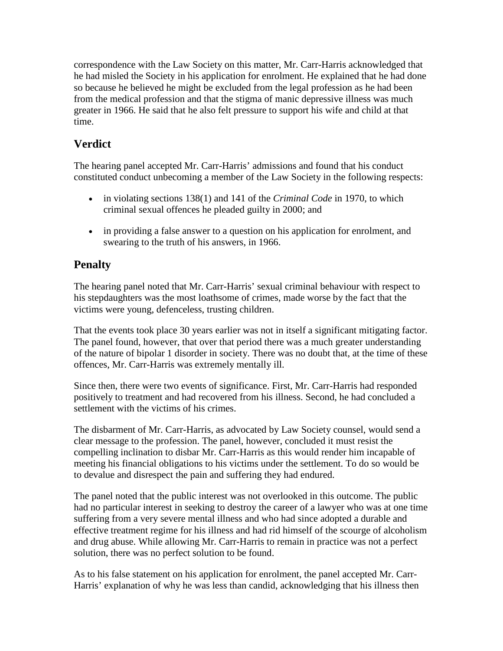correspondence with the Law Society on this matter, Mr. Carr-Harris acknowledged that he had misled the Society in his application for enrolment. He explained that he had done so because he believed he might be excluded from the legal profession as he had been from the medical profession and that the stigma of manic depressive illness was much greater in 1966. He said that he also felt pressure to support his wife and child at that time.

## **Verdict**

The hearing panel accepted Mr. Carr-Harris' admissions and found that his conduct constituted conduct unbecoming a member of the Law Society in the following respects:

- in violating sections 138(1) and 141 of the *Criminal Code* in 1970, to which criminal sexual offences he pleaded guilty in 2000; and
- in providing a false answer to a question on his application for enrolment, and swearing to the truth of his answers, in 1966.

# **Penalty**

The hearing panel noted that Mr. Carr-Harris' sexual criminal behaviour with respect to his stepdaughters was the most loathsome of crimes, made worse by the fact that the victims were young, defenceless, trusting children.

That the events took place 30 years earlier was not in itself a significant mitigating factor. The panel found, however, that over that period there was a much greater understanding of the nature of bipolar 1 disorder in society. There was no doubt that, at the time of these offences, Mr. Carr-Harris was extremely mentally ill.

Since then, there were two events of significance. First, Mr. Carr-Harris had responded positively to treatment and had recovered from his illness. Second, he had concluded a settlement with the victims of his crimes.

The disbarment of Mr. Carr-Harris, as advocated by Law Society counsel, would send a clear message to the profession. The panel, however, concluded it must resist the compelling inclination to disbar Mr. Carr-Harris as this would render him incapable of meeting his financial obligations to his victims under the settlement. To do so would be to devalue and disrespect the pain and suffering they had endured.

The panel noted that the public interest was not overlooked in this outcome. The public had no particular interest in seeking to destroy the career of a lawyer who was at one time suffering from a very severe mental illness and who had since adopted a durable and effective treatment regime for his illness and had rid himself of the scourge of alcoholism and drug abuse. While allowing Mr. Carr-Harris to remain in practice was not a perfect solution, there was no perfect solution to be found.

As to his false statement on his application for enrolment, the panel accepted Mr. Carr-Harris' explanation of why he was less than candid, acknowledging that his illness then